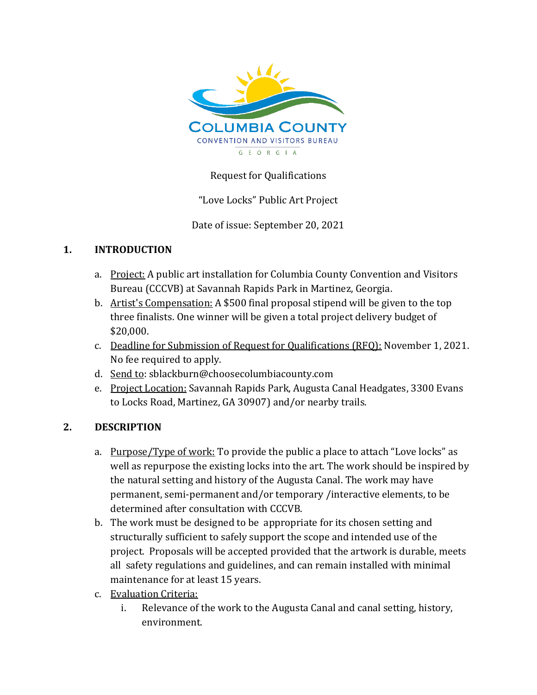

## Request for Qualifications

"Love Locks" Public Art Project

Date of issue: September 20, 2021

### **1. INTRODUCTION**

- a. Project: A public art installation for Columbia County Convention and Visitors Bureau (CCCVB) at Savannah Rapids Park in Martinez, Georgia.
- b. Artist's Compensation: A \$500 final proposal stipend will be given to the top three finalists. One winner will be given a total project delivery budget of \$20,000.
- c. Deadline for Submission of Request for Qualifications (RFQ): November 1, 2021. No fee required to apply.
- d. Send to: sblackburn@choosecolumbiacounty.com
- e. Project Location: Savannah Rapids Park, Augusta Canal Headgates, 3300 Evans to Locks Road, Martinez, GA 30907) and/or nearby trails.

## **2. DESCRIPTION**

- a. Purpose/Type of work: To provide the public a place to attach "Love locks" as well as repurpose the existing locks into the art. The work should be inspired by the natural setting and history of the Augusta Canal. The work may have permanent, semi-permanent and/or temporary /interactive elements, to be determined after consultation with CCCVB.
- b. The work must be designed to be appropriate for its chosen setting and structurally sufficient to safely support the scope and intended use of the project. Proposals will be accepted provided that the artwork is durable, meets all safety regulations and guidelines, and can remain installed with minimal maintenance for at least 15 years.
- c. Evaluation Criteria:
	- i. Relevance of the work to the Augusta Canal and canal setting, history, environment.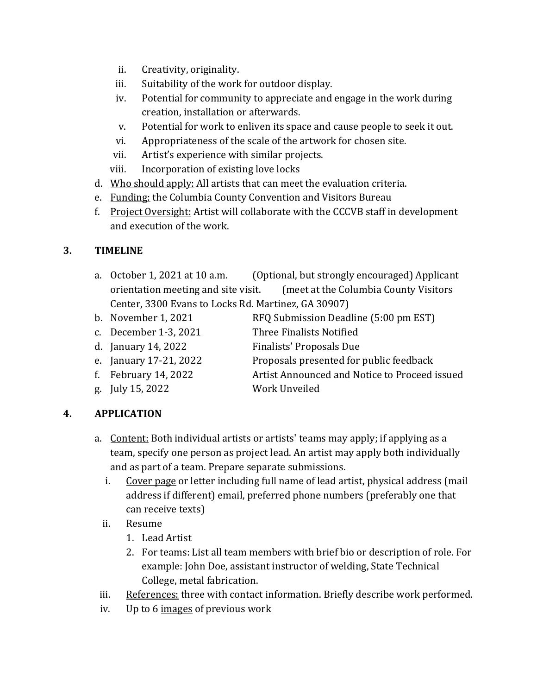- ii. Creativity, originality.
- iii. Suitability of the work for outdoor display.
- iv. Potential for community to appreciate and engage in the work during creation, installation or afterwards.
- v. Potential for work to enliven its space and cause people to seek it out.
- vi. Appropriateness of the scale of the artwork for chosen site.
- vii. Artist's experience with similar projects.
- viii. Incorporation of existing love locks
- d. Who should apply: All artists that can meet the evaluation criteria.
- e. Funding: the Columbia County Convention and Visitors Bureau
- f. Project Oversight: Artist will collaborate with the CCCVB staff in development and execution of the work.

## **3. TIMELINE**

- a. October 1, 2021 at 10 a.m. (Optional, but strongly encouraged) Applicant orientation meeting and site visit. (meet at the Columbia County Visitors Center, 3300 Evans to Locks Rd. Martinez, GA 30907)
- 
- b. November 1, 2021 RFQ Submission Deadline (5:00 pm EST)
- c. December 1-3, 2021 Three Finalists Notified
- d. January 14, 2022 Finalists' Proposals Due
- e. January 17-21, 2022 Proposals presented for public feedback
- 
- g. July 15, 2022 Work Unveiled
- f. February 14, 2022 Artist Announced and Notice to Proceed issued

# **4. APPLICATION**

- a. Content: Both individual artists or artists' teams may apply; if applying as a team, specify one person as project lead. An artist may apply both individually and as part of a team. Prepare separate submissions.
	- i. Cover page or letter including full name of lead artist, physical address (mail address if different) email, preferred phone numbers (preferably one that can receive texts)
	- ii. Resume
		- 1. Lead Artist
		- 2. For teams: List all team members with brief bio or description of role. For example: John Doe, assistant instructor of welding, State Technical College, metal fabrication.
- iii. References: three with contact information. Briefly describe work performed.
- iv. Up to 6 images of previous work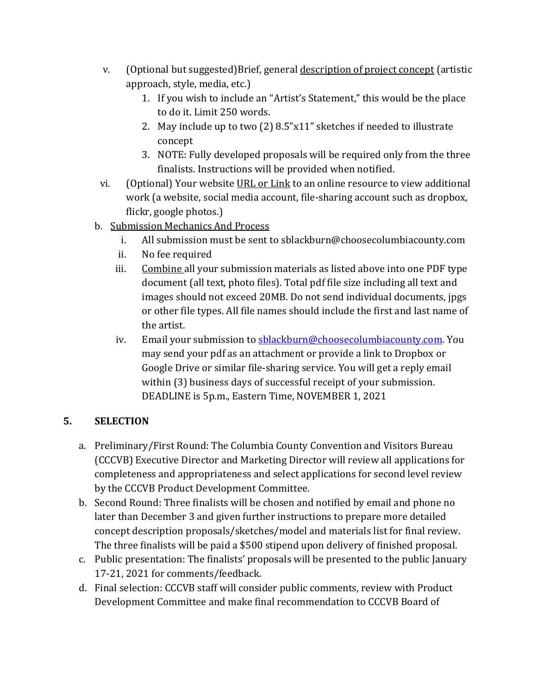- v. (Optional but suggested)Brief, general description of project concept (artistic approach, style, media, etc.)
	- 1. If you wish to include an "Artist's Statement," this would be the place to do it. Limit 250 words.
	- 2. May include up to two (2) 8.5"x11" sketches if needed to illustrate concept
	- 3. NOTE: Fully developed proposals will be required only from the three finalists. Instructions will be provided when notified.
- vi. (Optional) Your website URL or Link to an online resource to view additional work (a website, social media account, file-sharing account such as dropbox, flickr, google photos.)
- b. Submission Mechanics And Process
	- i. All submission must be sent to sblackburn@choosecolumbiacounty.com
	- ii. No fee required
	- iii. Combine all your submission materials as listed above into one PDF type document (all text, photo files). Total pdf file size including all text and images should not exceed 20MB. Do not send individual documents, jpgs or other file types. All file names should include the first and last name of the artist.
	- iv. Email your submission to [sblackburn@choosecolumbiacounty.com.](mailto:sblackburn@choosecolumbiacounty.com) You may send your pdf as an attachment or provide a link to Dropbox or Google Drive or similar file-sharing service. You will get a reply email within (3) business days of successful receipt of your submission. DEADLINE is 5p.m., Eastern Time, NOVEMBER 1, 2021

## **5. SELECTION**

- a. Preliminary/First Round: The Columbia County Convention and Visitors Bureau (CCCVB) Executive Director and Marketing Director will review all applications for completeness and appropriateness and select applications for second level review by the CCCVB Product Development Committee.
- b. Second Round: Three finalists will be chosen and notified by email and phone no later than December 3 and given further instructions to prepare more detailed concept description proposals/sketches/model and materials list for final review. The three finalists will be paid a \$500 stipend upon delivery of finished proposal.
- c. Public presentation: The finalists' proposals will be presented to the public January 17-21, 2021 for comments/feedback.
- d. Final selection: CCCVB staff will consider public comments, review with Product Development Committee and make final recommendation to CCCVB Board of